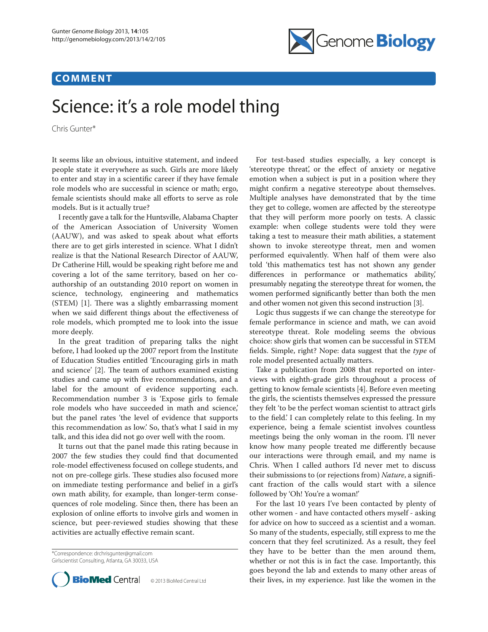# **COMM EN T**



# Science: it's a role model thing

Chris Gunter\*

It seems like an obvious, intuitive statement, and indeed people state it everywhere as such. Girls are more likely to enter and stay in a scientific career if they have female role models who are successful in science or math; ergo, female scientists should make all efforts to serve as role models. But is it actually true?

I recently gave a talk for the Huntsville, Alabama Chapter of the American Association of University Women (AAUW), and was asked to speak about what efforts there are to get girls interested in science. What I didn't realize is that the National Research Director of AAUW, Dr Catherine Hill, would be speaking right before me and covering a lot of the same territory, based on her coauthorship of an outstanding 2010 report on women in science, technology, engineering and mathematics (STEM) [1]. There was a slightly embarrassing moment when we said different things about the effectiveness of role models, which prompted me to look into the issue more deeply.

In the great tradition of preparing talks the night before, I had looked up the 2007 report from the Institute of Education Studies entitled 'Encouraging girls in math and science' [2]. The team of authors examined existing studies and came up with five recommendations, and a label for the amount of evidence supporting each. Recommendation number 3 is 'Expose girls to female role models who have succeeded in math and science,' but the panel rates 'the level of evidence that supports this recommendation as low.' So, that's what I said in my talk, and this idea did not go over well with the room.

It turns out that the panel made this rating because in 2007 the few studies they could find that documented role-model effectiveness focused on college students, and not on pre-college girls. These studies also focused more on immediate testing performance and belief in a girl's own math ability, for example, than longer-term consequences of role modeling. Since then, there has been an explosion of online efforts to involve girls and women in science, but peer-reviewed studies showing that these activities are actually effective remain scant.

\*Correspondence: drchrisgunter@gmail.com Girlscientist Consulting, Atlanta, GA 30033, USA



For test-based studies especially, a key concept is 'stereotype threat', or the effect of anxiety or negative emotion when a subject is put in a position where they might confirm a negative stereotype about themselves. Multiple analyses have demonstrated that by the time they get to college, women are affected by the stereotype that they will perform more poorly on tests. A classic example: when college students were told they were taking a test to measure their math abilities, a statement shown to invoke stereotype threat, men and women performed equivalently. When half of them were also told 'this mathematics test has not shown any gender differences in performance or mathematics ability, presumably negating the stereotype threat for women, the women performed significantly better than both the men and other women not given this second instruction [3].

Logic thus suggests if we can change the stereotype for female performance in science and math, we can avoid stereotype threat. Role modeling seems the obvious choice: show girls that women can be successful in STEM fi elds. Simple, right? Nope: data suggest that the *type* of role model presented actually matters.

Take a publication from 2008 that reported on interviews with eighth-grade girls throughout a process of getting to know female scientists [4]. Before even meeting the girls, the scientists themselves expressed the pressure they felt 'to be the perfect woman scientist to attract girls to the field.' I can completely relate to this feeling. In my experience, being a female scientist involves countless meetings being the only woman in the room. I'll never know how many people treated me differently because our interactions were through email, and my name is Chris. When I called authors I'd never met to discuss their submissions to (or rejections from) *Nature*, a significant fraction of the calls would start with a silence followed by 'Oh! You're a woman!'

For the last 10 years I've been contacted by plenty of other women - and have contacted others myself - asking for advice on how to succeed as a scientist and a woman. So many of the students, especially, still express to me the concern that they feel scrutinized. As a result, they feel they have to be better than the men around them, whether or not this is in fact the case. Importantly, this goes beyond the lab and extends to many other areas of **BioMed** Central solus BioMed Central Ltd their lives, in my experience. Just like the women in the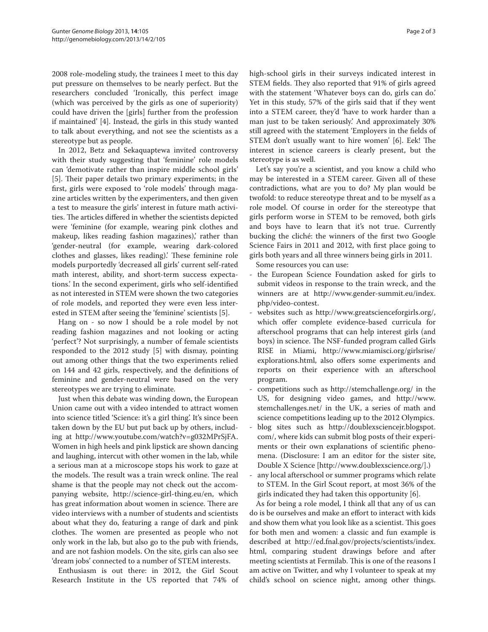2008 role-modeling study, the trainees I meet to this day put pressure on themselves to be nearly perfect. But the researchers concluded 'Ironically, this perfect image (which was perceived by the girls as one of superiority) could have driven the [girls] further from the profession if maintained' [4]. Instead, the girls in this study wanted to talk about everything, and not see the scientists as a stereotype but as people.

In 2012, Betz and Sekaquaptewa invited controversy with their study suggesting that 'feminine' role models can 'demotivate rather than inspire middle school girls' [5]. Their paper details two primary experiments; in the first, girls were exposed to 'role models' through magazine articles written by the experimenters, and then given a test to measure the girls' interest in future math activities. The articles differed in whether the scientists depicted were 'feminine (for example, wearing pink clothes and makeup, likes reading fashion magazines), rather than 'gender-neutral (for example, wearing dark-colored clothes and glasses, likes reading).' These feminine role models purportedly 'decreased all girls' current self-rated math interest, ability, and short-term success expectations.' In the second experiment, girls who self-identified as not interested in STEM were shown the two categories of role models, and reported they were even less interested in STEM after seeing the 'feminine' scientists [5].

Hang on - so now I should be a role model by not reading fashion magazines and not looking or acting 'perfect'? Not surprisingly, a number of female scientists responded to the 2012 study [5] with dismay, pointing out among other things that the two experiments relied on 144 and 42 girls, respectively, and the definitions of feminine and gender-neutral were based on the very stereotypes we are trying to eliminate.

Just when this debate was winding down, the European Union came out with a video intended to attract women into science titled 'Science: it's a girl thing'. It's since been taken down by the EU but put back up by others, including at http://www.youtube.com/watch?v=g032MPrSjFA. Women in high heels and pink lipstick are shown dancing and laughing, intercut with other women in the lab, while a serious man at a microscope stops his work to gaze at the models. The result was a train wreck online. The real shame is that the people may not check out the accompanying website, http://science-girl-thing.eu/en, which has great information about women in science. There are video interviews with a number of students and scientists about what they do, featuring a range of dark and pink clothes. The women are presented as people who not only work in the lab, but also go to the pub with friends, and are not fashion models. On the site, girls can also see 'dream jobs' connected to a number of STEM interests.

Enthusiasm is out there: in 2012, the Girl Scout Research Institute in the US reported that 74% of high-school girls in their surveys indicated interest in STEM fields. They also reported that 91% of girls agreed with the statement 'Whatever boys can do, girls can do.' Yet in this study, 57% of the girls said that if they went into a STEM career, they'd 'have to work harder than a man just to be taken seriously.' And approximately 30% still agreed with the statement 'Employers in the fields of STEM don't usually want to hire women' [6]. Eek! The interest in science careers is clearly present, but the stereotype is as well.

Let's say you're a scientist, and you know a child who may be interested in a STEM career. Given all of these contradictions, what are you to do? My plan would be twofold: to reduce stereotype threat and to be myself as a role model. Of course in order for the stereotype that girls perform worse in STEM to be removed, both girls and boys have to learn that it's not true. Currently bucking the cliché: the winners of the first two Google Science Fairs in 2011 and 2012, with first place going to girls both years and all three winners being girls in 2011.

Some resources you can use:

- the European Science Foundation asked for girls to submit videos in response to the train wreck, and the winners are at http://www.gender-summit.eu/index. php/video-contest.
- websites such as http://www.greatscienceforgirls.org/, which offer complete evidence-based curricula for afterschool programs that can help interest girls (and boys) in science. The NSF-funded program called Girls RISE in Miami, http://www.miamisci.org/girlsrise/ explorations.html, also offers some experiments and reports on their experience with an afterschool program.
- competitions such as http://stemchallenge.org/ in the US, for designing video games, and http://www. stemchallenges.net/ in the UK, a series of math and science competitions leading up to the 2012 Olympics.
- blog sites such as http://doublexsciencejr.blogspot. com/, where kids can submit blog posts of their experiments or their own explanations of scientific phenomena. (Disclosure: I am an editor for the sister site, Double X Science [http://www.doublexscience.org/].)
- any local afterschool or summer programs which relate to STEM. In the Girl Scout report, at most 36% of the girls indicated they had taken this opportunity [6].

As for being a role model, I think all that any of us can do is be ourselves and make an effort to interact with kids and show them what you look like as a scientist. This goes for both men and women: a classic and fun example is described at http://ed.fnal.gov/projects/scientists/index. html, comparing student drawings before and after meeting scientists at Fermilab. This is one of the reasons I am active on Twitter, and why I volunteer to speak at my child's school on science night, among other things.